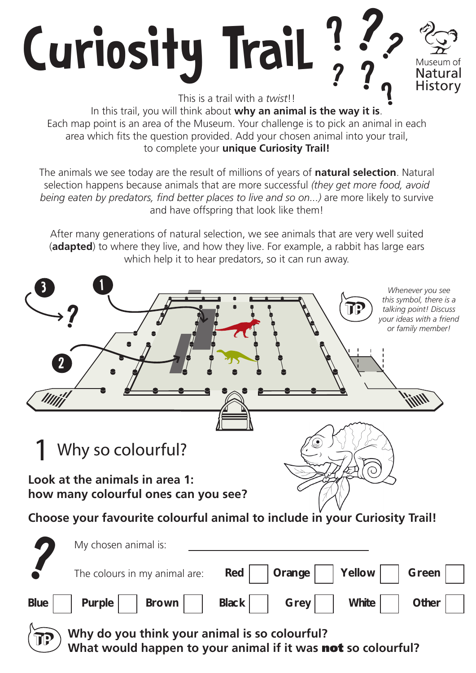

**Why do you think your animal is so colourful?**  What would happen to your animal if it was **not** so colourful?

TP